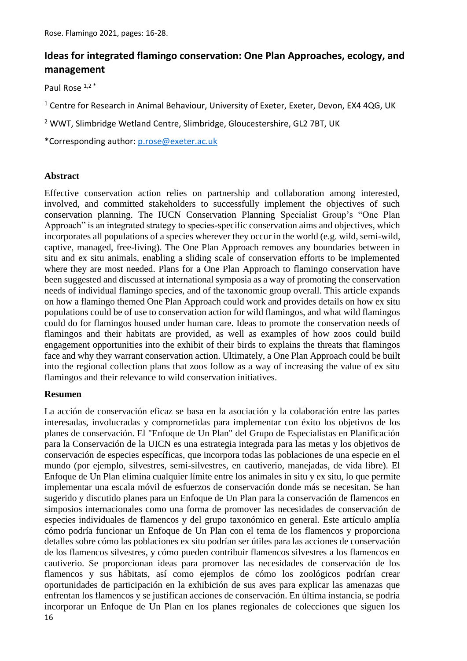# **Ideas for integrated flamingo conservation: One Plan Approaches, ecology, and management**

Paul Rose 1,2\*

<sup>1</sup> Centre for Research in Animal Behaviour, University of Exeter, Exeter, Devon, EX4 4QG, UK

<sup>2</sup> WWT, Slimbridge Wetland Centre, Slimbridge, Gloucestershire, GL2 7BT, UK

\*Corresponding author: [p.rose@exeter.ac.uk](mailto:davidlomas.per@gmail.com)

#### **Abstract**

Effective conservation action relies on partnership and collaboration among interested, involved, and committed stakeholders to successfully implement the objectives of such conservation planning. The IUCN Conservation Planning Specialist Group's "One Plan Approach" is an integrated strategy to species-specific conservation aims and objectives, which incorporates all populations of a species wherever they occur in the world (e.g. wild, semi-wild, captive, managed, free-living). The One Plan Approach removes any boundaries between in situ and ex situ animals, enabling a sliding scale of conservation efforts to be implemented where they are most needed. Plans for a One Plan Approach to flamingo conservation have been suggested and discussed at international symposia as a way of promoting the conservation needs of individual flamingo species, and of the taxonomic group overall. This article expands on how a flamingo themed One Plan Approach could work and provides details on how ex situ populations could be of use to conservation action for wild flamingos, and what wild flamingos could do for flamingos housed under human care. Ideas to promote the conservation needs of flamingos and their habitats are provided, as well as examples of how zoos could build engagement opportunities into the exhibit of their birds to explains the threats that flamingos face and why they warrant conservation action. Ultimately, a One Plan Approach could be built into the regional collection plans that zoos follow as a way of increasing the value of ex situ flamingos and their relevance to wild conservation initiatives.

#### **Resumen**

16 La acción de conservación eficaz se basa en la asociación y la colaboración entre las partes interesadas, involucradas y comprometidas para implementar con éxito los objetivos de los planes de conservación. El "Enfoque de Un Plan" del Grupo de Especialistas en Planificación para la Conservación de la UICN es una estrategia integrada para las metas y los objetivos de conservación de especies específicas, que incorpora todas las poblaciones de una especie en el mundo (por ejemplo, silvestres, semi-silvestres, en cautiverio, manejadas, de vida libre). El Enfoque de Un Plan elimina cualquier límite entre los animales in situ y ex situ, lo que permite implementar una escala móvil de esfuerzos de conservación donde más se necesitan. Se han sugerido y discutido planes para un Enfoque de Un Plan para la conservación de flamencos en simposios internacionales como una forma de promover las necesidades de conservación de especies individuales de flamencos y del grupo taxonómico en general. Este artículo amplía cómo podría funcionar un Enfoque de Un Plan con el tema de los flamencos y proporciona detalles sobre cómo las poblaciones ex situ podrían ser útiles para las acciones de conservación de los flamencos silvestres, y cómo pueden contribuir flamencos silvestres a los flamencos en cautiverio. Se proporcionan ideas para promover las necesidades de conservación de los flamencos y sus hábitats, así como ejemplos de cómo los zoológicos podrían crear oportunidades de participación en la exhibición de sus aves para explicar las amenazas que enfrentan los flamencos y se justifican acciones de conservación. En última instancia, se podría incorporar un Enfoque de Un Plan en los planes regionales de colecciones que siguen los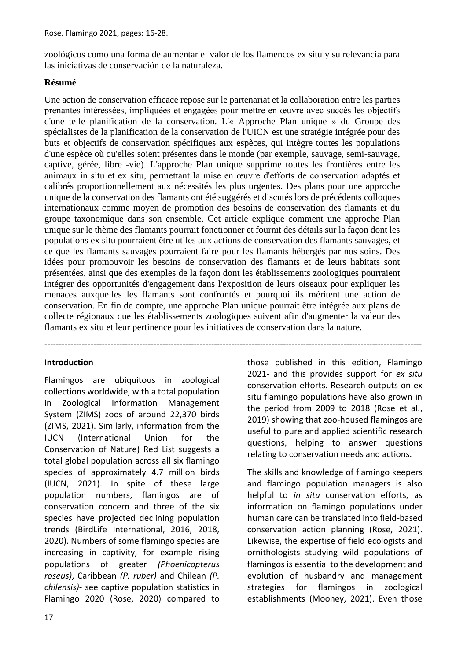zoológicos como una forma de aumentar el valor de los flamencos ex situ y su relevancia para las iniciativas de conservación de la naturaleza.

# **Résumé**

Une action de conservation efficace repose sur le partenariat et la collaboration entre les parties prenantes intéressées, impliquées et engagées pour mettre en œuvre avec succès les objectifs d'une telle planification de la conservation. L'« Approche Plan unique » du Groupe des spécialistes de la planification de la conservation de l'UICN est une stratégie intégrée pour des buts et objectifs de conservation spécifiques aux espèces, qui intègre toutes les populations d'une espèce où qu'elles soient présentes dans le monde (par exemple, sauvage, semi-sauvage, captive, gérée, libre -vie). L'approche Plan unique supprime toutes les frontières entre les animaux in situ et ex situ, permettant la mise en œuvre d'efforts de conservation adaptés et calibrés proportionnellement aux nécessités les plus urgentes. Des plans pour une approche unique de la conservation des flamants ont été suggérés et discutés lors de précédents colloques internationaux comme moyen de promotion des besoins de conservation des flamants et du groupe taxonomique dans son ensemble. Cet article explique comment une approche Plan unique sur le thème des flamants pourrait fonctionner et fournit des détails sur la façon dont les populations ex situ pourraient être utiles aux actions de conservation des flamants sauvages, et ce que les flamants sauvages pourraient faire pour les flamants hébergés par nos soins. Des idées pour promouvoir les besoins de conservation des flamants et de leurs habitats sont présentées, ainsi que des exemples de la façon dont les établissements zoologiques pourraient intégrer des opportunités d'engagement dans l'exposition de leurs oiseaux pour expliquer les menaces auxquelles les flamants sont confrontés et pourquoi ils méritent une action de conservation. En fin de compte, une approche Plan unique pourrait être intégrée aux plans de collecte régionaux que les établissements zoologiques suivent afin d'augmenter la valeur des flamants ex situ et leur pertinence pour les initiatives de conservation dans la nature.

**-----------------------------------------------------------------------------------------------------------------------------------**

#### **Introduction**

Flamingos are ubiquitous in zoological collections worldwide, with a total population in Zoological Information Management System (ZIMS) zoos of around 22,370 birds (ZIMS, 2021). Similarly, information from the IUCN (International Union for the Conservation of Nature) Red List suggests a total global population across all six flamingo species of approximately 4.7 million birds (IUCN, 2021). In spite of these large population numbers, flamingos are of conservation concern and three of the six species have projected declining population trends (BirdLife International, 2016, 2018, 2020). Numbers of some flamingo species are increasing in captivity, for example rising populations of greater *(Phoenicopterus roseus)*, Caribbean *(P. ruber)* and Chilean *(P. chilensis)*- see captive population statistics in Flamingo 2020 (Rose, 2020) compared to those published in this edition, Flamingo 2021- and this provides support for *ex situ* conservation efforts. Research outputs on ex situ flamingo populations have also grown in the period from 2009 to 2018 (Rose et al., 2019) showing that zoo-housed flamingos are useful to pure and applied scientific research questions, helping to answer questions relating to conservation needs and actions.

The skills and knowledge of flamingo keepers and flamingo population managers is also helpful to *in situ* conservation efforts, as information on flamingo populations under human care can be translated into field-based conservation action planning (Rose, 2021). Likewise, the expertise of field ecologists and ornithologists studying wild populations of flamingos is essential to the development and evolution of husbandry and management strategies for flamingos in zoological establishments (Mooney, 2021). Even those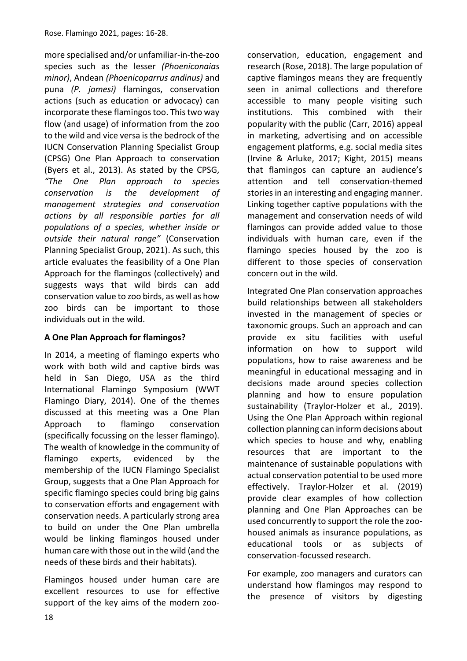more specialised and/or unfamiliar-in-the-zoo species such as the lesser *(Phoeniconaias minor)*, Andean *(Phoenicoparrus andinus)* and puna *(P. jamesi)* flamingos, conservation actions (such as education or advocacy) can incorporate these flamingos too. This two way flow (and usage) of information from the zoo to the wild and vice versa is the bedrock of the IUCN Conservation Planning Specialist Group (CPSG) One Plan Approach to conservation (Byers et al., 2013). As stated by the CPSG, *"The One Plan approach to species conservation is the development of management strategies and conservation actions by all responsible parties for all populations of a species, whether inside or outside their natural range"* (Conservation Planning Specialist Group, 2021). As such, this article evaluates the feasibility of a One Plan Approach for the flamingos (collectively) and suggests ways that wild birds can add conservation value to zoo birds, as well as how zoo birds can be important to those individuals out in the wild.

# **A One Plan Approach for flamingos?**

In 2014, a meeting of flamingo experts who work with both wild and captive birds was held in San Diego, USA as the third International Flamingo Symposium (WWT Flamingo Diary, 2014). One of the themes discussed at this meeting was a One Plan Approach to flamingo conservation (specifically focussing on the lesser flamingo). The wealth of knowledge in the community of flamingo experts, evidenced by the membership of the IUCN Flamingo Specialist Group, suggests that a One Plan Approach for specific flamingo species could bring big gains to conservation efforts and engagement with conservation needs. A particularly strong area to build on under the One Plan umbrella would be linking flamingos housed under human care with those out in the wild (and the needs of these birds and their habitats).

Flamingos housed under human care are excellent resources to use for effective support of the key aims of the modern zooconservation, education, engagement and research (Rose, 2018). The large population of captive flamingos means they are frequently seen in animal collections and therefore accessible to many people visiting such institutions. This combined with their popularity with the public (Carr, 2016) appeal in marketing, advertising and on accessible engagement platforms, e.g. social media sites (Irvine & Arluke, 2017; Kight, 2015) means that flamingos can capture an audience's attention and tell conservation-themed stories in an interesting and engaging manner. Linking together captive populations with the management and conservation needs of wild flamingos can provide added value to those individuals with human care, even if the flamingo species housed by the zoo is different to those species of conservation concern out in the wild.

Integrated One Plan conservation approaches build relationships between all stakeholders invested in the management of species or taxonomic groups. Such an approach and can provide ex situ facilities with useful information on how to support wild populations, how to raise awareness and be meaningful in educational messaging and in decisions made around species collection planning and how to ensure population sustainability (Traylor-Holzer et al., 2019). Using the One Plan Approach within regional collection planning can inform decisions about which species to house and why, enabling resources that are important to the maintenance of sustainable populations with actual conservation potential to be used more effectively. Traylor-Holzer et al. (2019) provide clear examples of how collection planning and One Plan Approaches can be used concurrently to support the role the zoohoused animals as insurance populations, as educational tools or as subjects of conservation-focussed research.

For example, zoo managers and curators can understand how flamingos may respond to the presence of visitors by digesting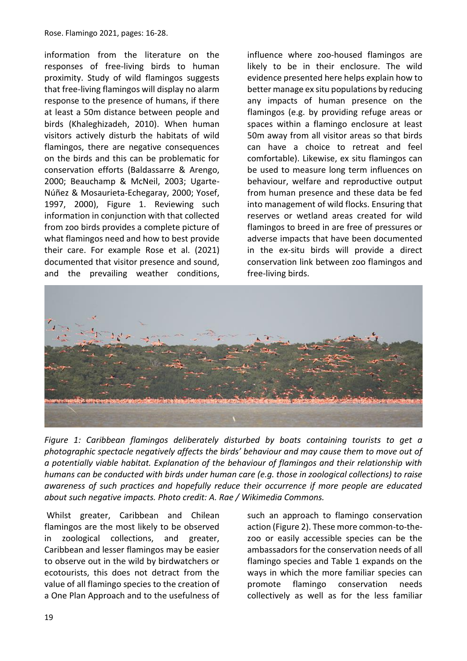Rose. Flamingo 2021, pages: 16-28.

information from the literature on the responses of free-living birds to human proximity. Study of wild flamingos suggests that free-living flamingos will display no alarm response to the presence of humans, if there at least a 50m distance between people and birds (Khaleghizadeh, 2010). When human visitors actively disturb the habitats of wild flamingos, there are negative consequences on the birds and this can be problematic for conservation efforts (Baldassarre & Arengo, 2000; Beauchamp & McNeil, 2003; Ugarte-Núñez & Mosaurieta-Echegaray, 2000; Yosef, 1997, 2000), Figure 1. Reviewing such information in conjunction with that collected from zoo birds provides a complete picture of what flamingos need and how to best provide their care. For example Rose et al. (2021) documented that visitor presence and sound, and the prevailing weather conditions, influence where zoo-housed flamingos are likely to be in their enclosure. The wild evidence presented here helps explain how to better manage ex situ populations by reducing any impacts of human presence on the flamingos (e.g. by providing refuge areas or spaces within a flamingo enclosure at least 50m away from all visitor areas so that birds can have a choice to retreat and feel comfortable). Likewise, ex situ flamingos can be used to measure long term influences on behaviour, welfare and reproductive output from human presence and these data be fed into management of wild flocks. Ensuring that reserves or wetland areas created for wild flamingos to breed in are free of pressures or adverse impacts that have been documented in the ex-situ birds will provide a direct conservation link between zoo flamingos and free-living birds.



*Figure 1: Caribbean flamingos deliberately disturbed by boats containing tourists to get a photographic spectacle negatively affects the birds' behaviour and may cause them to move out of a potentially viable habitat. Explanation of the behaviour of flamingos and their relationship with humans can be conducted with birds under human care (e.g. those in zoological collections) to raise awareness of such practices and hopefully reduce their occurrence if more people are educated about such negative impacts. Photo credit: A. Rae / Wikimedia Commons.*

Whilst greater, Caribbean and Chilean flamingos are the most likely to be observed in zoological collections, and greater, Caribbean and lesser flamingos may be easier to observe out in the wild by birdwatchers or ecotourists, this does not detract from the value of all flamingo species to the creation of a One Plan Approach and to the usefulness of such an approach to flamingo conservation action (Figure 2). These more common-to-thezoo or easily accessible species can be the ambassadors for the conservation needs of all flamingo species and Table 1 expands on the ways in which the more familiar species can promote flamingo conservation needs collectively as well as for the less familiar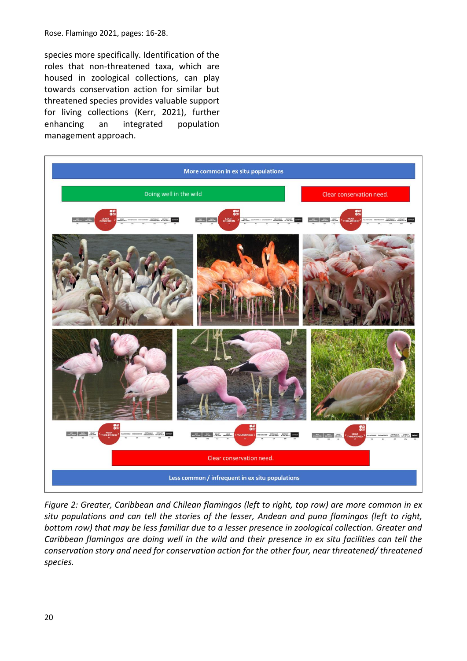species more specifically. Identification of the roles that non-threatened taxa, which are housed in zoological collections, can play towards conservation action for similar but threatened species provides valuable support for living collections (Kerr, 2021), further enhancing an integrated population management approach.



*Figure 2: Greater, Caribbean and Chilean flamingos (left to right, top row) are more common in ex situ populations and can tell the stories of the lesser, Andean and puna flamingos (left to right, bottom row) that may be less familiar due to a lesser presence in zoological collection. Greater and Caribbean flamingos are doing well in the wild and their presence in ex situ facilities can tell the conservation story and need for conservation action for the other four, near threatened/ threatened species.*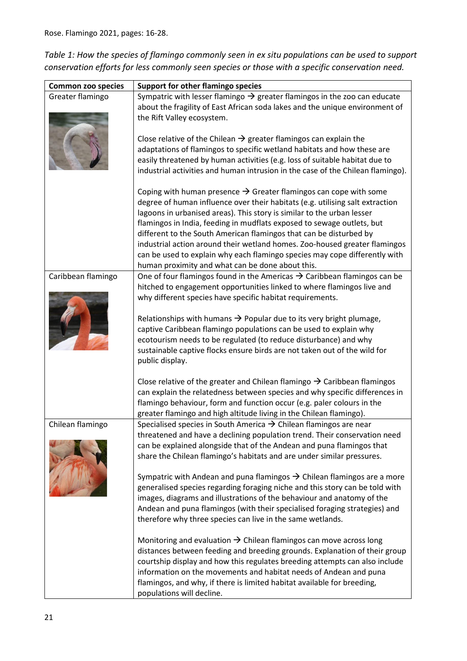*Table 1: How the species of flamingo commonly seen in ex situ populations can be used to support conservation efforts for less commonly seen species or those with a specific conservation need.* 

| <b>Common zoo species</b> | <b>Support for other flamingo species</b>                                                                                                            |  |  |
|---------------------------|------------------------------------------------------------------------------------------------------------------------------------------------------|--|--|
| Greater flamingo          | Sympatric with lesser flamingo $\rightarrow$ greater flamingos in the zoo can educate                                                                |  |  |
|                           | about the fragility of East African soda lakes and the unique environment of                                                                         |  |  |
|                           | the Rift Valley ecosystem.                                                                                                                           |  |  |
|                           |                                                                                                                                                      |  |  |
|                           | Close relative of the Chilean $\rightarrow$ greater flamingos can explain the                                                                        |  |  |
|                           | adaptations of flamingos to specific wetland habitats and how these are                                                                              |  |  |
|                           | easily threatened by human activities (e.g. loss of suitable habitat due to                                                                          |  |  |
|                           | industrial activities and human intrusion in the case of the Chilean flamingo).                                                                      |  |  |
|                           | Coping with human presence $\rightarrow$ Greater flamingos can cope with some                                                                        |  |  |
|                           | degree of human influence over their habitats (e.g. utilising salt extraction                                                                        |  |  |
|                           | lagoons in urbanised areas). This story is similar to the urban lesser                                                                               |  |  |
|                           | flamingos in India, feeding in mudflats exposed to sewage outlets, but                                                                               |  |  |
|                           | different to the South American flamingos that can be disturbed by                                                                                   |  |  |
|                           | industrial action around their wetland homes. Zoo-housed greater flamingos                                                                           |  |  |
|                           | can be used to explain why each flamingo species may cope differently with                                                                           |  |  |
|                           | human proximity and what can be done about this.                                                                                                     |  |  |
| Caribbean flamingo        | One of four flamingos found in the Americas $\rightarrow$ Caribbean flamingos can be                                                                 |  |  |
|                           | hitched to engagement opportunities linked to where flamingos live and                                                                               |  |  |
|                           | why different species have specific habitat requirements.                                                                                            |  |  |
|                           |                                                                                                                                                      |  |  |
|                           | Relationships with humans $\rightarrow$ Popular due to its very bright plumage,                                                                      |  |  |
|                           | captive Caribbean flamingo populations can be used to explain why                                                                                    |  |  |
|                           | ecotourism needs to be regulated (to reduce disturbance) and why                                                                                     |  |  |
|                           | sustainable captive flocks ensure birds are not taken out of the wild for<br>public display.                                                         |  |  |
|                           |                                                                                                                                                      |  |  |
|                           | Close relative of the greater and Chilean flamingo $\rightarrow$ Caribbean flamingos                                                                 |  |  |
|                           | can explain the relatedness between species and why specific differences in                                                                          |  |  |
|                           | flamingo behaviour, form and function occur (e.g. paler colours in the                                                                               |  |  |
|                           | greater flamingo and high altitude living in the Chilean flamingo).                                                                                  |  |  |
| Chilean flamingo          | Specialised species in South America $\rightarrow$ Chilean flamingos are near                                                                        |  |  |
|                           | threatened and have a declining population trend. Their conservation need                                                                            |  |  |
|                           | can be explained alongside that of the Andean and puna flamingos that                                                                                |  |  |
|                           | share the Chilean flamingo's habitats and are under similar pressures.                                                                               |  |  |
|                           |                                                                                                                                                      |  |  |
|                           | Sympatric with Andean and puna flamingos $\rightarrow$ Chilean flamingos are a more                                                                  |  |  |
|                           | generalised species regarding foraging niche and this story can be told with                                                                         |  |  |
|                           | images, diagrams and illustrations of the behaviour and anatomy of the<br>Andean and puna flamingos (with their specialised foraging strategies) and |  |  |
|                           | therefore why three species can live in the same wetlands.                                                                                           |  |  |
|                           |                                                                                                                                                      |  |  |
|                           | Monitoring and evaluation $\rightarrow$ Chilean flamingos can move across long                                                                       |  |  |
|                           | distances between feeding and breeding grounds. Explanation of their group                                                                           |  |  |
|                           | courtship display and how this regulates breeding attempts can also include                                                                          |  |  |
|                           | information on the movements and habitat needs of Andean and puna                                                                                    |  |  |
|                           | flamingos, and why, if there is limited habitat available for breeding,                                                                              |  |  |
|                           | populations will decline.                                                                                                                            |  |  |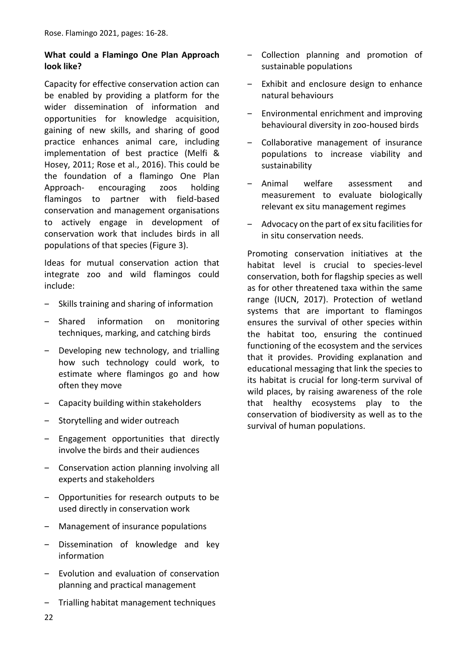# **What could a Flamingo One Plan Approach look like?**

Capacity for effective conservation action can be enabled by providing a platform for the wider dissemination of information and opportunities for knowledge acquisition, gaining of new skills, and sharing of good practice enhances animal care, including implementation of best practice (Melfi & Hosey, 2011; Rose et al., 2016). This could be the foundation of a flamingo One Plan Approach- encouraging zoos holding flamingos to partner with field-based conservation and management organisations to actively engage in development of conservation work that includes birds in all populations of that species (Figure 3).

Ideas for mutual conservation action that integrate zoo and wild flamingos could include:

- ‒ Skills training and sharing of information
- ‒ Shared information on monitoring techniques, marking, and catching birds
- Developing new technology, and trialling how such technology could work, to estimate where flamingos go and how often they move
- ‒ Capacity building within stakeholders
- ‒ Storytelling and wider outreach
- ‒ Engagement opportunities that directly involve the birds and their audiences
- ‒ Conservation action planning involving all experts and stakeholders
- ‒ Opportunities for research outputs to be used directly in conservation work
- ‒ Management of insurance populations
- Dissemination of knowledge and key information
- ‒ Evolution and evaluation of conservation planning and practical management
- ‒ Trialling habitat management techniques
- ‒ Collection planning and promotion of sustainable populations
- ‒ Exhibit and enclosure design to enhance natural behaviours
- ‒ Environmental enrichment and improving behavioural diversity in zoo-housed birds
- ‒ Collaborative management of insurance populations to increase viability and sustainability
- ‒ Animal welfare assessment and measurement to evaluate biologically relevant ex situ management regimes
- ‒ Advocacy on the part of ex situ facilities for in situ conservation needs.

Promoting conservation initiatives at the habitat level is crucial to species-level conservation, both for flagship species as well as for other threatened taxa within the same range (IUCN, 2017). Protection of wetland systems that are important to flamingos ensures the survival of other species within the habitat too, ensuring the continued functioning of the ecosystem and the services that it provides. Providing explanation and educational messaging that link the species to its habitat is crucial for long-term survival of wild places, by raising awareness of the role that healthy ecosystems play to the conservation of biodiversity as well as to the survival of human populations.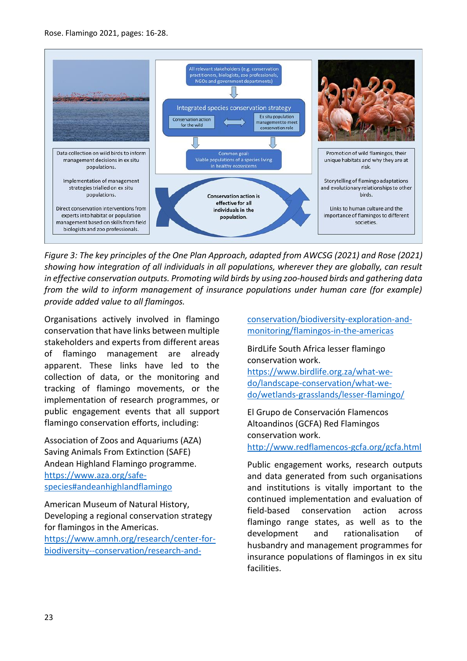

*Figure 3: The key principles of the One Plan Approach, adapted from AWCSG (2021) and Rose (2021) showing how integration of all individuals in all populations, wherever they are globally, can result in effective conservation outputs. Promoting wild birds by using zoo-housed birds and gathering data from the wild to inform management of insurance populations under human care (for example) provide added value to all flamingos.*

Organisations actively involved in flamingo conservation that have links between multiple stakeholders and experts from different areas of flamingo management are already apparent. These links have led to the collection of data, or the monitoring and tracking of flamingo movements, or the implementation of research programmes, or public engagement events that all support flamingo conservation efforts, including:

Association of Zoos and Aquariums (AZA) Saving Animals From Extinction (SAFE) Andean Highland Flamingo programme. [https://www.aza.org/safe](https://www.aza.org/safe-species#andeanhighlandflamingo)[species#andeanhighlandflamingo](https://www.aza.org/safe-species#andeanhighlandflamingo)

American Museum of Natural History, Developing a regional conservation strategy for flamingos in the Americas. [https://www.amnh.org/research/center-for-](https://www.amnh.org/research/center-for-biodiversity--conservation/research-and-conservation/biodiversity-exploration-and-monitoring/flamingos-in-the-americas)

[biodiversity--conservation/research-and-](https://www.amnh.org/research/center-for-biodiversity--conservation/research-and-conservation/biodiversity-exploration-and-monitoring/flamingos-in-the-americas)

[conservation/biodiversity-exploration-and](https://www.amnh.org/research/center-for-biodiversity--conservation/research-and-conservation/biodiversity-exploration-and-monitoring/flamingos-in-the-americas)[monitoring/flamingos-in-the-americas](https://www.amnh.org/research/center-for-biodiversity--conservation/research-and-conservation/biodiversity-exploration-and-monitoring/flamingos-in-the-americas)

BirdLife South Africa lesser flamingo conservation work.

[https://www.birdlife.org.za/what-we](https://www.birdlife.org.za/what-we-do/landscape-conservation/what-we-do/wetlands-grasslands/lesser-flamingo/)[do/landscape-conservation/what-we](https://www.birdlife.org.za/what-we-do/landscape-conservation/what-we-do/wetlands-grasslands/lesser-flamingo/)[do/wetlands-grasslands/lesser-flamingo/](https://www.birdlife.org.za/what-we-do/landscape-conservation/what-we-do/wetlands-grasslands/lesser-flamingo/) 

El Grupo de Conservación Flamencos Altoandinos (GCFA) Red Flamingos conservation work. <http://www.redflamencos-gcfa.org/gcfa.html>

Public engagement works, research outputs and data generated from such organisations and institutions is vitally important to the continued implementation and evaluation of field-based conservation action across flamingo range states, as well as to the development and rationalisation of husbandry and management programmes for insurance populations of flamingos in ex situ facilities.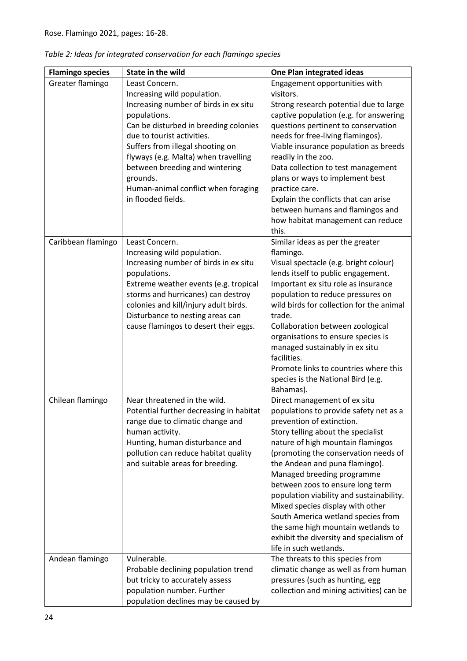| <b>Flamingo species</b> | <b>State in the wild</b>                                                                                                                                                                                                                                                                                                                                             | <b>One Plan integrated ideas</b>                                                                                                                                                                                                                                                                                                                                                                                                                                                                                                                            |
|-------------------------|----------------------------------------------------------------------------------------------------------------------------------------------------------------------------------------------------------------------------------------------------------------------------------------------------------------------------------------------------------------------|-------------------------------------------------------------------------------------------------------------------------------------------------------------------------------------------------------------------------------------------------------------------------------------------------------------------------------------------------------------------------------------------------------------------------------------------------------------------------------------------------------------------------------------------------------------|
| Greater flamingo        | Least Concern.<br>Increasing wild population.<br>Increasing number of birds in ex situ<br>populations.<br>Can be disturbed in breeding colonies<br>due to tourist activities.<br>Suffers from illegal shooting on<br>flyways (e.g. Malta) when travelling<br>between breeding and wintering<br>grounds.<br>Human-animal conflict when foraging<br>in flooded fields. | Engagement opportunities with<br>visitors.<br>Strong research potential due to large<br>captive population (e.g. for answering<br>questions pertinent to conservation<br>needs for free-living flamingos).<br>Viable insurance population as breeds<br>readily in the zoo.<br>Data collection to test management<br>plans or ways to implement best<br>practice care.<br>Explain the conflicts that can arise<br>between humans and flamingos and<br>how habitat management can reduce<br>this.                                                             |
| Caribbean flamingo      | Least Concern.<br>Increasing wild population.<br>Increasing number of birds in ex situ<br>populations.<br>Extreme weather events (e.g. tropical<br>storms and hurricanes) can destroy<br>colonies and kill/injury adult birds.<br>Disturbance to nesting areas can<br>cause flamingos to desert their eggs.                                                          | Similar ideas as per the greater<br>flamingo.<br>Visual spectacle (e.g. bright colour)<br>lends itself to public engagement.<br>Important ex situ role as insurance<br>population to reduce pressures on<br>wild birds for collection for the animal<br>trade.<br>Collaboration between zoological<br>organisations to ensure species is<br>managed sustainably in ex situ<br>facilities.<br>Promote links to countries where this<br>species is the National Bird (e.g.<br>Bahamas).                                                                       |
| Chilean flamingo        | Near threatened in the wild.<br>Potential further decreasing in habitat<br>range due to climatic change and<br>human activity.<br>Hunting, human disturbance and<br>pollution can reduce habitat quality<br>and suitable areas for breeding.                                                                                                                         | Direct management of ex situ<br>populations to provide safety net as a<br>prevention of extinction.<br>Story telling about the specialist<br>nature of high mountain flamingos<br>(promoting the conservation needs of<br>the Andean and puna flamingo).<br>Managed breeding programme<br>between zoos to ensure long term<br>population viability and sustainability.<br>Mixed species display with other<br>South America wetland species from<br>the same high mountain wetlands to<br>exhibit the diversity and specialism of<br>life in such wetlands. |
| Andean flamingo         | Vulnerable.<br>Probable declining population trend<br>but tricky to accurately assess<br>population number. Further<br>population declines may be caused by                                                                                                                                                                                                          | The threats to this species from<br>climatic change as well as from human<br>pressures (such as hunting, egg<br>collection and mining activities) can be                                                                                                                                                                                                                                                                                                                                                                                                    |

| Table 2: Ideas for integrated conservation for each flamingo species |  |  |
|----------------------------------------------------------------------|--|--|
|----------------------------------------------------------------------|--|--|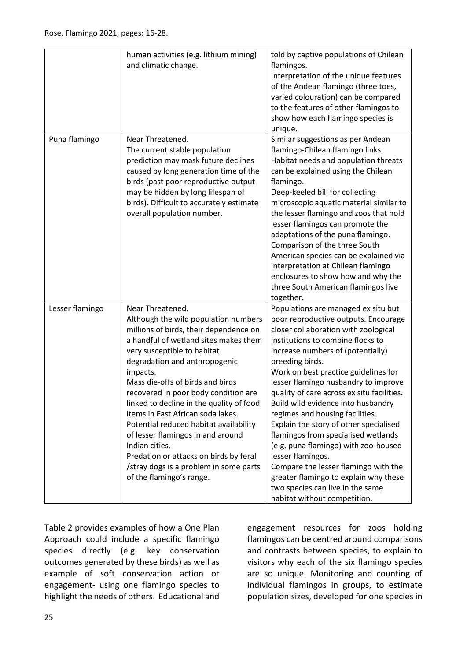|                 | human activities (e.g. lithium mining)<br>and climatic change.                                                                                                                                                                                                                                                                                                                                                                                                                                                                                                                                        | told by captive populations of Chilean<br>flamingos.<br>Interpretation of the unique features<br>of the Andean flamingo (three toes,<br>varied colouration) can be compared<br>to the features of other flamingos to<br>show how each flamingo species is<br>unique.                                                                                                                                                                                                                                                                                                                                                                                                                                                       |
|-----------------|-------------------------------------------------------------------------------------------------------------------------------------------------------------------------------------------------------------------------------------------------------------------------------------------------------------------------------------------------------------------------------------------------------------------------------------------------------------------------------------------------------------------------------------------------------------------------------------------------------|----------------------------------------------------------------------------------------------------------------------------------------------------------------------------------------------------------------------------------------------------------------------------------------------------------------------------------------------------------------------------------------------------------------------------------------------------------------------------------------------------------------------------------------------------------------------------------------------------------------------------------------------------------------------------------------------------------------------------|
| Puna flamingo   | Near Threatened.<br>The current stable population<br>prediction may mask future declines<br>caused by long generation time of the<br>birds (past poor reproductive output<br>may be hidden by long lifespan of<br>birds). Difficult to accurately estimate<br>overall population number.                                                                                                                                                                                                                                                                                                              | Similar suggestions as per Andean<br>flamingo-Chilean flamingo links.<br>Habitat needs and population threats<br>can be explained using the Chilean<br>flamingo.<br>Deep-keeled bill for collecting<br>microscopic aquatic material similar to<br>the lesser flamingo and zoos that hold<br>lesser flamingos can promote the<br>adaptations of the puna flamingo.<br>Comparison of the three South<br>American species can be explained via<br>interpretation at Chilean flamingo<br>enclosures to show how and why the<br>three South American flamingos live<br>together.                                                                                                                                                |
| Lesser flamingo | Near Threatened.<br>Although the wild population numbers<br>millions of birds, their dependence on<br>a handful of wetland sites makes them<br>very susceptible to habitat<br>degradation and anthropogenic<br>impacts.<br>Mass die-offs of birds and birds<br>recovered in poor body condition are<br>linked to decline in the quality of food<br>items in East African soda lakes.<br>Potential reduced habitat availability<br>of lesser flamingos in and around<br>Indian cities.<br>Predation or attacks on birds by feral<br>/stray dogs is a problem in some parts<br>of the flamingo's range. | Populations are managed ex situ but<br>poor reproductive outputs. Encourage<br>closer collaboration with zoological<br>institutions to combine flocks to<br>increase numbers of (potentially)<br>breeding birds.<br>Work on best practice guidelines for<br>lesser flamingo husbandry to improve<br>quality of care across ex situ facilities.<br>Build wild evidence into husbandry<br>regimes and housing facilities.<br>Explain the story of other specialised<br>flamingos from specialised wetlands<br>(e.g. puna flamingo) with zoo-housed<br>lesser flamingos.<br>Compare the lesser flamingo with the<br>greater flamingo to explain why these<br>two species can live in the same<br>habitat without competition. |

Table 2 provides examples of how a One Plan Approach could include a specific flamingo species directly (e.g. key conservation outcomes generated by these birds) as well as example of soft conservation action or engagement- using one flamingo species to highlight the needs of others. Educational and

engagement resources for zoos holding flamingos can be centred around comparisons and contrasts between species, to explain to visitors why each of the six flamingo species are so unique. Monitoring and counting of individual flamingos in groups, to estimate population sizes, developed for one species in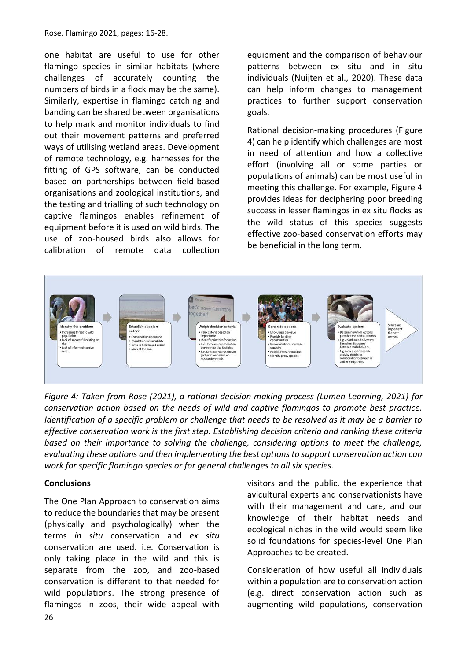Rose. Flamingo 2021, pages: 16-28.

one habitat are useful to use for other flamingo species in similar habitats (where challenges of accurately counting the numbers of birds in a flock may be the same). Similarly, expertise in flamingo catching and banding can be shared between organisations to help mark and monitor individuals to find out their movement patterns and preferred ways of utilising wetland areas. Development of remote technology, e.g. harnesses for the fitting of GPS software, can be conducted based on partnerships between field-based organisations and zoological institutions, and the testing and trialling of such technology on captive flamingos enables refinement of equipment before it is used on wild birds. The use of zoo-housed birds also allows for calibration of remote data collection

equipment and the comparison of behaviour patterns between ex situ and in situ individuals (Nuijten et al., 2020). These data can help inform changes to management practices to further support conservation goals.

Rational decision-making procedures (Figure 4) can help identify which challenges are most in need of attention and how a collective effort (involving all or some parties or populations of animals) can be most useful in meeting this challenge. For example, Figure 4 provides ideas for deciphering poor breeding success in lesser flamingos in ex situ flocks as the wild status of this species suggests effective zoo-based conservation efforts may be beneficial in the long term.



*Figure 4: Taken from Rose (2021), a rational decision making process (Lumen Learning, 2021) for conservation action based on the needs of wild and captive flamingos to promote best practice. Identification of a specific problem or challenge that needs to be resolved as it may be a barrier to effective conservation work is the first step. Establishing decision criteria and ranking these criteria based on their importance to solving the challenge, considering options to meet the challenge, evaluating these options and then implementing the best options to support conservation action can work for specific flamingo species or for general challenges to all six species.* 

#### **Conclusions**

The One Plan Approach to conservation aims to reduce the boundaries that may be present (physically and psychologically) when the terms *in situ* conservation and *ex situ* conservation are used. i.e. Conservation is only taking place in the wild and this is separate from the zoo, and zoo-based conservation is different to that needed for wild populations. The strong presence of flamingos in zoos, their wide appeal with visitors and the public, the experience that avicultural experts and conservationists have with their management and care, and our knowledge of their habitat needs and ecological niches in the wild would seem like solid foundations for species-level One Plan Approaches to be created.

Consideration of how useful all individuals within a population are to conservation action (e.g. direct conservation action such as augmenting wild populations, conservation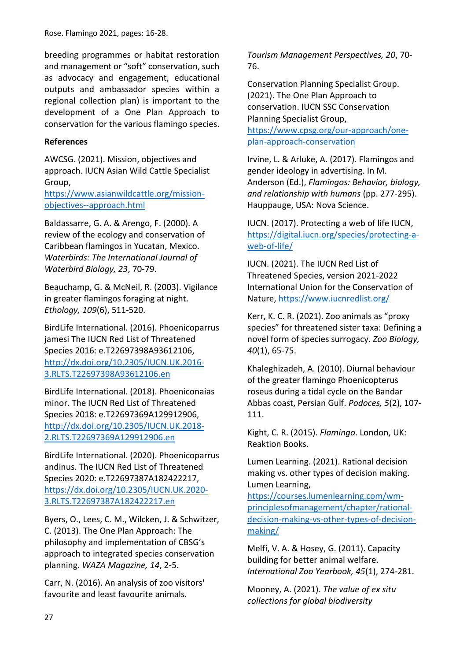breeding programmes or habitat restoration and management or "soft" conservation, such as advocacy and engagement, educational outputs and ambassador species within a regional collection plan) is important to the development of a One Plan Approach to conservation for the various flamingo species.

# **References**

AWCSG. (2021). Mission, objectives and approach. IUCN Asian Wild Cattle Specialist Group,

[https://www.asianwildcattle.org/mission](https://www.asianwildcattle.org/mission-objectives--approach.html)[objectives--approach.html](https://www.asianwildcattle.org/mission-objectives--approach.html)

Baldassarre, G. A. & Arengo, F. (2000). A review of the ecology and conservation of Caribbean flamingos in Yucatan, Mexico. *Waterbirds: The International Journal of Waterbird Biology, 23*, 70-79.

Beauchamp, G. & McNeil, R. (2003). Vigilance in greater flamingos foraging at night. *Ethology, 109*(6), 511-520.

BirdLife International. (2016). Phoenicoparrus jamesi The IUCN Red List of Threatened Species 2016: e.T22697398A93612106, [http://dx.doi.org/10.2305/IUCN.UK.2016-](http://dx.doi.org/10.2305/IUCN.UK.2016-3.RLTS.T22697398A93612106.en) [3.RLTS.T22697398A93612106.en](http://dx.doi.org/10.2305/IUCN.UK.2016-3.RLTS.T22697398A93612106.en)

BirdLife International. (2018). Phoeniconaias minor. The IUCN Red List of Threatened Species 2018: e.T22697369A129912906, [http://dx.doi.org/10.2305/IUCN.UK.2018-](http://dx.doi.org/10.2305/IUCN.UK.2018-2.RLTS.T22697369A129912906.en) [2.RLTS.T22697369A129912906.en](http://dx.doi.org/10.2305/IUCN.UK.2018-2.RLTS.T22697369A129912906.en)

BirdLife International. (2020). Phoenicoparrus andinus. The IUCN Red List of Threatened Species 2020: e.T22697387A182422217, [https://dx.doi.org/10.2305/IUCN.UK.2020-](https://dx.doi.org/10.2305/IUCN.UK.2020-3.RLTS.T22697387A182422217.en) [3.RLTS.T22697387A182422217.en](https://dx.doi.org/10.2305/IUCN.UK.2020-3.RLTS.T22697387A182422217.en)

Byers, O., Lees, C. M., Wilcken, J. & Schwitzer, C. (2013). The One Plan Approach: The philosophy and implementation of CBSG's approach to integrated species conservation planning. *WAZA Magazine, 14*, 2-5.

Carr, N. (2016). An analysis of zoo visitors' favourite and least favourite animals.

*Tourism Management Perspectives, 20*, 70- 76.

Conservation Planning Specialist Group. (2021). The One Plan Approach to conservation. IUCN SSC Conservation Planning Specialist Group,

[https://www.cpsg.org/our-approach/one](https://www.cpsg.org/our-approach/one-plan-approach-conservation)[plan-approach-conservation](https://www.cpsg.org/our-approach/one-plan-approach-conservation)

Irvine, L. & Arluke, A. (2017). Flamingos and gender ideology in advertising. In M. Anderson (Ed.), *Flamingos: Behavior, biology, and relationship with humans* (pp. 277-295). Hauppauge, USA: Nova Science.

IUCN. (2017). Protecting a web of life IUCN, [https://digital.iucn.org/species/protecting-a](https://digital.iucn.org/species/protecting-a-web-of-life/)[web-of-life/](https://digital.iucn.org/species/protecting-a-web-of-life/)

IUCN. (2021). The IUCN Red List of Threatened Species, version 2021-2022 International Union for the Conservation of Nature,<https://www.iucnredlist.org/>

Kerr, K. C. R. (2021). Zoo animals as "proxy species" for threatened sister taxa: Defining a novel form of species surrogacy. *Zoo Biology, 40*(1), 65-75.

Khaleghizadeh, A. (2010). Diurnal behaviour of the greater flamingo Phoenicopterus roseus during a tidal cycle on the Bandar Abbas coast, Persian Gulf. *Podoces, 5*(2), 107- 111.

Kight, C. R. (2015). *Flamingo*. London, UK: Reaktion Books.

Lumen Learning. (2021). Rational decision making vs. other types of decision making. Lumen Learning,

[https://courses.lumenlearning.com/wm](https://courses.lumenlearning.com/wm-principlesofmanagement/chapter/rational-decision-making-vs-other-types-of-decision-making/)[principlesofmanagement/chapter/rational](https://courses.lumenlearning.com/wm-principlesofmanagement/chapter/rational-decision-making-vs-other-types-of-decision-making/)[decision-making-vs-other-types-of-decision](https://courses.lumenlearning.com/wm-principlesofmanagement/chapter/rational-decision-making-vs-other-types-of-decision-making/)[making/](https://courses.lumenlearning.com/wm-principlesofmanagement/chapter/rational-decision-making-vs-other-types-of-decision-making/)

Melfi, V. A. & Hosey, G. (2011). Capacity building for better animal welfare. *International Zoo Yearbook, 45*(1), 274-281.

Mooney, A. (2021). *The value of ex situ collections for global biodiversity*